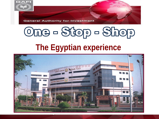

**General Authority for Investment** 

# Ome - Stop - Shop

# **The Egyptian experience**

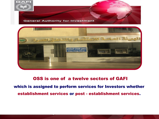



### OSS is one of a twelve sectors of GAFI which is assigned to perform services for Investors whether establishment services or post - establishment services.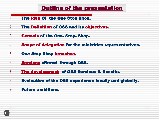## Outline of the presentation

- 1. The idea Of the One Stop Shop.
- 2. The Definition of OSS and its objectives.
- 3. Genesis of the One- Stop- Shop.
- 4. Scope of delegation for the ministries representatives.
- 5. One Stop Shop branches.
- 6. Services offered through OSS.
- 7. The development of OSS Services & Results.
- 8. Evaluation of the OSS experience locally and globally.
- 9. Future ambitions.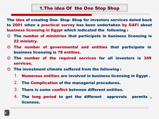The idea of creating One- Stop- Shop for investors services dated back to 2001 when a practical survey has been undertaken by GAFI about business licensing in Egypt which indicated the following :

- ◎ The number of ministries that participate in business licensing is 22 ministry.
- ◎ The number of governmental and entities that participate in business licensing is 78 entities.
- ◎ The number of the required services for all investors is 349 services.
- ◎ The investment climate suffered from the following :
	- 1. Numerous entities are involved in business licensing in Egypt .
	- 2. The Complication of the managerial procedures.
	- 3. There is some conflict between different entities.
	- 4. The long period to get the different approvals permits , licenses.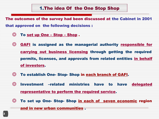#### 1.The idea Of the One Stop Shop

The outcomes of the survey had been discussed at the Cabinet in 2001

that approved on the following decisions :

- ◎ To set up One Stop Shop .
- ◎ GAFI is assigned as the managerial authority responsible for carrying out business licensing through getting the required permits, licenses, and approvals from related entities in behalf of investors.
- ◎ To establish One- Stop- Shop in each branch of GAFI.
- ◎ Investment –related ministries have to have delegated representative to perform the required service.
- ◎ To set up One- Stop- Shop in each of seven economic region

and in new urban communities .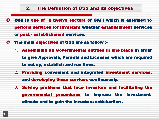- ◎ OSS is one of a twelve sectors of GAFI which is assigned to perform services for Investors whether establishment services or post - establishment services.
- ◎ The main objectives of OSS are as follow :-
	- 1. Assembling all Governmental entities in one place in order to give Approvals, Permits and Licenses which are required to set up, establish and run firms.
	- 2. Providing convenient and integrated investment services, and developing these services continuously.
	- 3. Solving problems that face investors and facilitating the governmental procedures to improve the investment climate and to gain the investors satisfaction .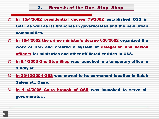- ◎ In 15/4/2002 presidential decree 79/2002 established OSS in GAFI as well as its branches in governorates and the new urban communities.
- ◎ In 16/4/2002 the prime minister's decree 636/2002 organized the work of OSS and created a system of delegation and liaison officers for ministries and other affiliated entities in OSS.
- ◎ In 9/1/2003 One Stop Shop was launched in a temporary office in 9 Adly st.
- ◎ In 29/12/2004 OSS was moved to its permanent location in Salah Salem st., Cairo.
- ◎ In 11/4/2005 Cairo branch of OSS was launched to serve all governorates .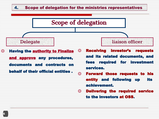#### 4. Scope of delegation for the ministries representatives



achievement.

◎ Delivering the required service to the investors at OSS.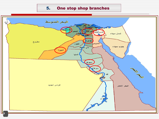#### 5. One stop shop branches

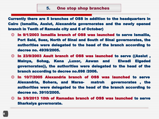Currently there are 5 branches of OSS in addition to the headquarters in Cairo (Ismailia, Assiut, Alexandria governorates and the newly opened branch in Tenth of Ramada city and 6 of October)

- ◎ In 9/1/2003 Ismailia branch of OSS was launched to serve Ismailia, Port Said, Suez, North of Sinai and South of Sinai governorates, the authorities were delegated to the head of the branch according to decree no. 4939/2005.
- ◎ In 23/9/2003 Asuit branch of OSS was launched to serve ((Assiut , Mainya, Sohag, Kena ,Luxor, Aswan and Elwadi Elgeded governorates)), the authorities were delegated to the head of the branch according to decree no.698 /2006.
- ◎ In 10/7/2005 Alexandria branch of OSS was launched to serve Alexandria, Bohera, and Marsa- matroh governorates , the authorities were delegated to the head of the branch according to decree no. 3910/2005.
- ◎ In 3/9/2013 10th of Ramadan branch of OSS was launched to serve Sharkeiya governorate.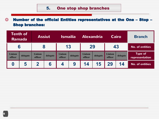#### ◎ Number of the official Entities representatives at the One – Stop – Shop branches:

| <b>Tenth of</b><br><b>Ramada</b> |                               | <b>Assiut</b>             |          | <b>Ismailia</b>           |          | <b>Alexandria</b>  |          | <b>Cairo</b>              |          | <b>Branch</b>                    |
|----------------------------------|-------------------------------|---------------------------|----------|---------------------------|----------|--------------------|----------|---------------------------|----------|----------------------------------|
| 6                                |                               | $\bullet$<br>O            |          | 13                        |          | 29                 |          | 43                        |          | <b>No. of entities</b>           |
| <b>Liaison</b><br>officer        | delegate                      | <b>Liaison</b><br>officer | delegate | <b>Liaison</b><br>officer | delegate | Liaison<br>officer | delegate | <b>Liaison</b><br>officer | delegate | <b>Type of</b><br>representation |
| O                                | h<br>$\overline{\phantom{a}}$ | 50                        | 6        | Z                         | 9        | 14                 | 15       | 29                        | 14       | <b>No. of entities</b>           |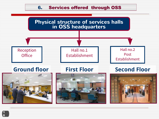#### 6. Services offered through OSS

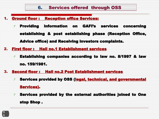#### 1. Ground floor : Reception office Services:

- ↱ Providing information on GAFI's services concerning establishing & post establishing phase (Reception Office, Advice office) and Receiving investors complaints.
- 2. First floor : Hall no.1 Establishment services
	- $\rightarrow$  Establishing companies according to law no. 8/1997 & law no. 159/1981.
- 3. Second floor : Hall no.2 Post Establishment services
	- ↱ Services provided by OSS (legal, technical, and governmental Services).
	- ↱ Services provided by the external authorities joined to One stop Shop .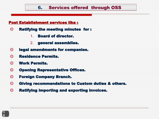#### 6. Services offered through OSS

#### Post Establishment services like :

- ◎ Ratifying the meeting minutes for :
	- 1. Board of director.
	- 2. general assemblies.
- ◎ legal amendments for companies.
- ◎ Residence Permits.
- ◎ Work Permits.
- ◎ Opening Representative Offices.
- ◎ Foreign Company Branch.
- ◎ Giving recommendations to Custom duties & others.
- ◎ Ratifying importing and exporting invoices.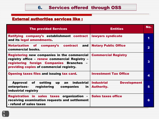#### External authorities services like :

| <b>The provided Services</b>                                                                                                                                                                               | <b>Entities</b>                                              | No.                     |
|------------------------------------------------------------------------------------------------------------------------------------------------------------------------------------------------------------|--------------------------------------------------------------|-------------------------|
| Ratifying company's establishment contract<br>and its legal amendments.                                                                                                                                    | lawyers syndicate                                            | 1                       |
| Notarization of company's contract<br>and $ $<br>commercial books.                                                                                                                                         | <b>Notary Public Office</b>                                  | $\overline{\mathbf{2}}$ |
| Registering new companies in the commercial   Commercial Registry<br>registry office - renew commercial Registry -<br>registering foreign Companies Branches -<br>providing copies of commercial registry. |                                                              | 3                       |
| <b>Opening taxes files and issuing tax card.</b>                                                                                                                                                           | <b>Investment Tax Office</b>                                 | 4                       |
| $an$ industrial<br>Approval of setting up<br>registering<br>enterprises–<br>companies<br>in I<br>industrial registry                                                                                       | <b>Industrial</b><br><b>Development</b><br><b>Authority.</b> | 5                       |
| Registration in sales taxes organization $\mathbf{-}$<br>receiving examination requests and settlement<br>- refund of sales taxes                                                                          | <b>Sales taxes office</b>                                    | 6                       |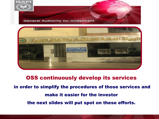



OSS continuously develop its services in order to simplify the procedures of those services and make it easier for the investor the next slides will put spot on these efforts.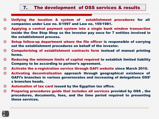#### 7. The development of OSS services & results

- ◎ Unifying the location & system of establishment procedures for all companies under Law no. 8/1997 and Law no. 159/1981.
- ◎ Applying a central payment system into a single bank window transaction inside the One Stop Shop so the investor pay once for 7 entities involved in the establishment process.
- ◎ Setup follow-up department where the file officer is responsible of carrying out the establishment procedures on behalf of the investor.
- ◎ Computerizing of establishment contracts form instead of manual printing forms.
- ◎ Reducing the minimum limits of capital required to establish limited liability Company to be according to partner's agreement.
- ◎ Activate the e-registration service through GAFI website since March 2010.
- ◎ Activating decentralization approach through geographical existence of GAFI's branches in various governorates and increasing of delegations OSS' s branches heads.
- ◎ Automation of tax card issued by the Egyptian tax office.
- ◎ Preparing procedures guide that includes all services provided by OSS , the procedures, documents, fees, and the time period required to presenting these services.

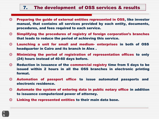#### 7. The development of OSS services & results

- ◎ Preparing the guide of external entities represented in OSS, like investor manual, that contains all services provided by each entity, documents, procedures, and fees required to each service.
- ◎ Simplifying the procedures of registry of foreign corporation's branches that leads to reduce the period of achieving this service.
- ◎ Launching a unit for small and medium- enterprises in both of OSS headquarter in Cairo and its branch in Alex .
- ◎ Minimizing the period of registration of representation offices to only (24) hours instead of 40-60 days before.
- ◎ Reduction in issuance of the commercial registry time from 5 days to be issued within 2 hours in all the OSS branches in electronic printing format.
- ◎ Automation of passport office to issue automated passports and electronic residence.
- ◎ Automate the system of entering data in public notary office in addition to issuance computerized power of attorney.
- ◎ Linking the represented entities to their main data base.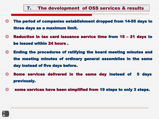#### 7. The development of OSS services & results

- ◎ The period of companies establishment dropped from 14-55 days to three days as a maximum limit.
- ◎ Reduction in tax card issuance service time from 15 21 days to be issued within 24 hours .
- ◎ Ending the procedures of ratifying the board meeting minutes and the meeting minutes of ordinary general assemblies in the same day instead of five days before.
- ◎ Some services delivered in the same day instead of 5 days previously.
- ◎ some services have been simplified from 19 steps to only 3 steps.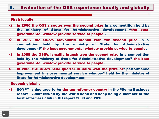#### 8. Evaluation of the OSS experience locally and globally

#### First: locally

- ◎ In 2006 the OSS's sector won the second prize in a competition held by the ministry of State for Administrative development "the best governmental window provide service to people".
- ◎ In 2007 the OSS's Alexandria branch won the second prize in a competition held by the ministry of State for Administrative development" the best governmental window provide service to people.
- ◎ In 2008 the OSS's Ismailia branch won the second prize in a competition held by the ministry of State for Administrative development" the best governmental window provide service to people.
- ◎ In 2009 the OSS's head quarter in Cairo won the prize of" performance improvement in governmental service window" held by the ministry of State for Administrative development.

#### Second: globally

◎ EGYPT is declared to be the top reformer country in the "Doing Business report - 2008" issued by the world bank and keep being a member of the best reformers club in DB report 2009 and 2010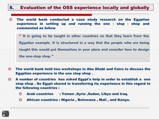#### 8. Evaluation of the OSS experience locally and globally

- ◎ The world bank conducted a case study research on the Egyptian experience in setting up and running the one - stop - shop and commented as follow
	- **" It is going to be taught in other countries so that they learn from the Egyptian example. It is structured in a way that the people who are being taught this would put themselves in your place and consider how to design the one-stop shop "**
- ◎ The world bank held two workshops in Abu Dhabi and Cairo to discuss the Egyptian experience in the one stop shop .
- ◎ A number of countries has asked Egypt's help in order to establish a one stop shop . So Egypt shared in transferring its experience in this regard to the following countries :
	- ◎ Arab countries : Yemen ,Syria ,Sudan, Libya and Iraq.
	- ◎ African countries : Nigeria , Botswana , Mali , and Kenya.